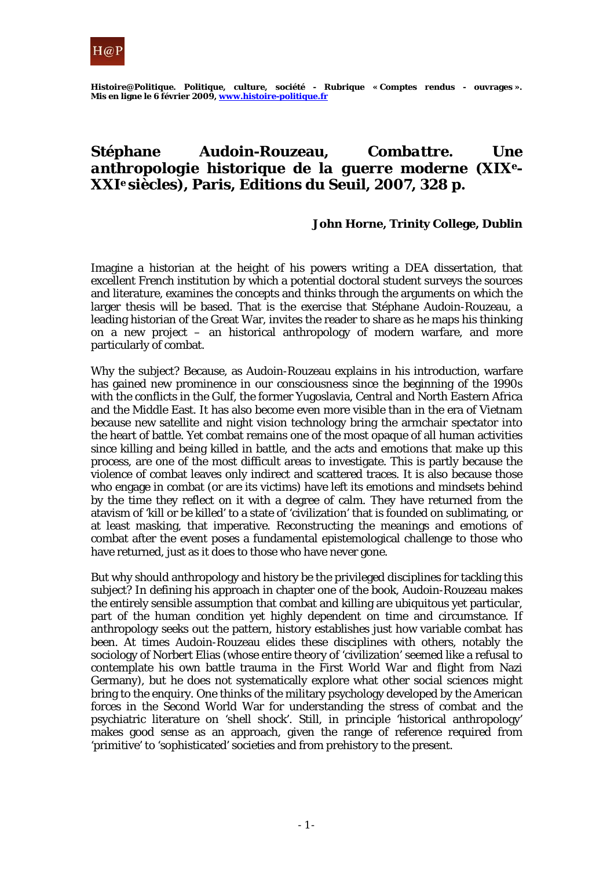

*Histoire@Politique. Politique, culture, société -* **Rubrique « Comptes rendus - ouvrages ». Mis en ligne le 6 février 2009, www.histoire-politique.fr**

## **Stéphane Audoin-Rouzeau,** *Combattre. Une anthropologie historique de la guerre moderne (XIXe-XXIe siècles)***, Paris, Editions du Seuil, 2007, 328 p.**

## **John Horne, Trinity College, Dublin**

Imagine a historian at the height of his powers writing a DEA dissertation, that excellent French institution by which a potential doctoral student surveys the sources and literature, examines the concepts and thinks through the arguments on which the larger thesis will be based. That is the exercise that Stéphane Audoin-Rouzeau, a leading historian of the Great War, invites the reader to share as he maps his thinking on a new project – an historical anthropology of modern warfare, and more particularly of combat.

Why the subject? Because, as Audoin-Rouzeau explains in his introduction, warfare has gained new prominence in our consciousness since the beginning of the 1990s with the conflicts in the Gulf, the former Yugoslavia, Central and North Eastern Africa and the Middle East. It has also become even more visible than in the era of Vietnam because new satellite and night vision technology bring the armchair spectator into the heart of battle. Yet combat remains one of the most opaque of all human activities since killing and being killed in battle, and the acts and emotions that make up this process, are one of the most difficult areas to investigate. This is partly because the violence of combat leaves only indirect and scattered traces. It is also because those who engage in combat (or are its victims) have left its emotions and mindsets behind by the time they reflect on it with a degree of calm. They have returned from the atavism of 'kill or be killed' to a state of 'civilization' that is founded on sublimating, or at least masking, that imperative. Reconstructing the meanings and emotions of combat after the event poses a fundamental epistemological challenge to those who have returned, just as it does to those who have never gone.

But why should anthropology and history be the privileged disciplines for tackling this subject? In defining his approach in chapter one of the book, Audoin-Rouzeau makes the entirely sensible assumption that combat and killing are ubiquitous yet particular, part of the human condition yet highly dependent on time and circumstance. If anthropology seeks out the pattern, history establishes just how variable combat has been. At times Audoin-Rouzeau elides these disciplines with others, notably the sociology of Norbert Elias (whose entire theory of 'civilization' seemed like a refusal to contemplate his own battle trauma in the First World War and flight from Nazi Germany), but he does not systematically explore what other social sciences might bring to the enquiry. One thinks of the military psychology developed by the American forces in the Second World War for understanding the stress of combat and the psychiatric literature on 'shell shock'. Still, in principle 'historical anthropology' makes good sense as an approach, given the range of reference required from 'primitive' to 'sophisticated' societies and from prehistory to the present.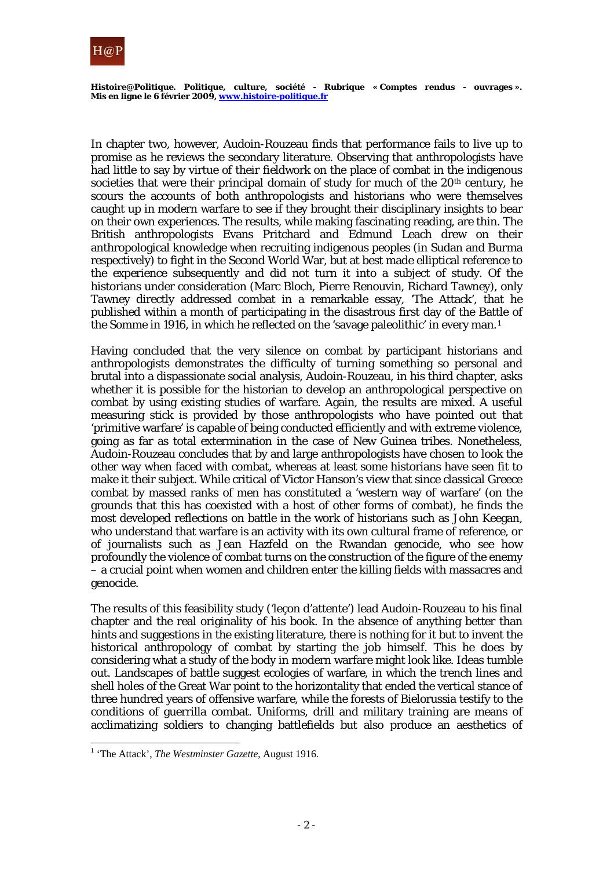

*Histoire@Politique. Politique, culture, société -* **Rubrique « Comptes rendus - ouvrages ». Mis en ligne le 6 février 2009, www.histoire-politique.fr**

In chapter two, however, Audoin-Rouzeau finds that performance fails to live up to promise as he reviews the secondary literature. Observing that anthropologists have had little to say by virtue of their fieldwork on the place of combat in the indigenous societies that were their principal domain of study for much of the 20<sup>th</sup> century, he scours the accounts of both anthropologists and historians who were themselves caught up in modern warfare to see if they brought their disciplinary insights to bear on their own experiences. The results, while making fascinating reading, are thin. The British anthropologists Evans Pritchard and Edmund Leach drew on their anthropological knowledge when recruiting indigenous peoples (in Sudan and Burma respectively) to fight in the Second World War, but at best made elliptical reference to the experience subsequently and did not turn it into a subject of study. Of the historians under consideration (Marc Bloch, Pierre Renouvin, Richard Tawney), only Tawney directly addressed combat in a remarkable essay, 'The Attack', that he published within a month of participating in the disastrous first day of the Battle of the Somme in 1916, in which he reflected on the 'savage paleolithic' in every man. [1](#page-1-0)

Having concluded that the very silence on combat by participant historians and anthropologists demonstrates the difficulty of turning something so personal and brutal into a dispassionate social analysis, Audoin-Rouzeau, in his third chapter, asks whether it is possible for the historian to develop an anthropological perspective on combat by using existing studies of warfare. Again, the results are mixed. A useful measuring stick is provided by those anthropologists who have pointed out that 'primitive warfare' is capable of being conducted efficiently and with extreme violence, going as far as total extermination in the case of New Guinea tribes. Nonetheless, Audoin-Rouzeau concludes that by and large anthropologists have chosen to look the other way when faced with combat, whereas at least some historians have seen fit to make it their subject. While critical of Victor Hanson's view that since classical Greece combat by massed ranks of men has constituted a 'western way of warfare' (on the grounds that this has coexisted with a host of other forms of combat), he finds the most developed reflections on battle in the work of historians such as John Keegan, who understand that warfare is an activity with its own cultural frame of reference, or of journalists such as Jean Hazfeld on the Rwandan genocide, who see how profoundly the violence of combat turns on the construction of the figure of the enemy – a crucial point when women and children enter the killing fields with massacres and genocide.

The results of this feasibility study ('leçon d'attente') lead Audoin-Rouzeau to his final chapter and the real originality of his book. In the absence of anything better than hints and suggestions in the existing literature, there is nothing for it but to invent the historical anthropology of combat by starting the job himself. This he does by considering what a study of the body in modern warfare might look like. Ideas tumble out. Landscapes of battle suggest ecologies of warfare, in which the trench lines and shell holes of the Great War point to the horizontality that ended the vertical stance of three hundred years of offensive warfare, while the forests of Bielorussia testify to the conditions of guerrilla combat. Uniforms, drill and military training are means of acclimatizing soldiers to changing battlefields but also produce an aesthetics of

l

<span id="page-1-0"></span><sup>&</sup>lt;sup>1</sup> 'The Attack', *The Westminster Gazette*, August 1916.